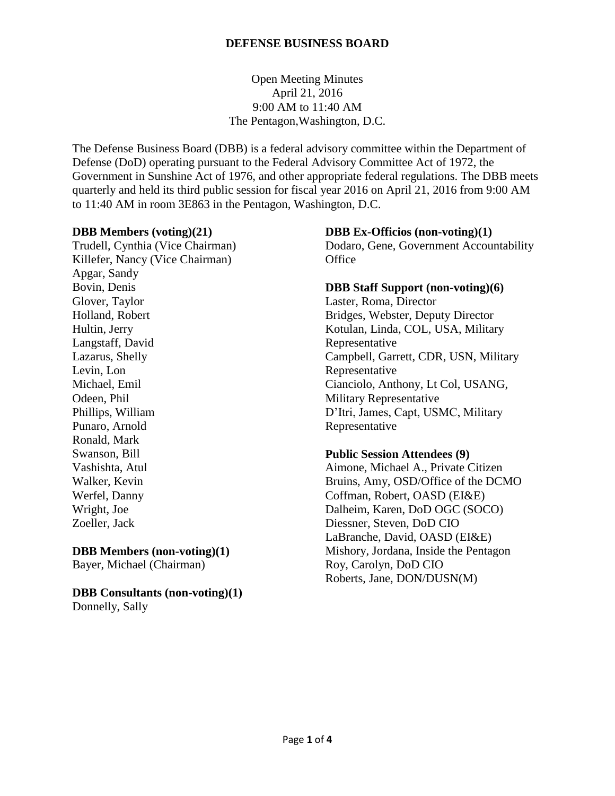Open Meeting Minutes April 21, 2016 9:00 AM to 11:40 AM The Pentagon,Washington, D.C.

The Defense Business Board (DBB) is a federal advisory committee within the Department of Defense (DoD) operating pursuant to the Federal Advisory Committee Act of 1972, the Government in Sunshine Act of 1976, and other appropriate federal regulations. The DBB meets quarterly and held its third public session for fiscal year 2016 on April 21, 2016 from 9:00 AM to 11:40 AM in room 3E863 in the Pentagon, Washington, D.C.

#### **DBB Members (voting)(21)**

Trudell, Cynthia (Vice Chairman) Killefer, Nancy (Vice Chairman) Apgar, Sandy Bovin, Denis Glover, Taylor Holland, Robert Hultin, Jerry Langstaff, David Lazarus, Shelly Levin, Lon Michael, Emil Odeen, Phil Phillips, William Punaro, Arnold Ronald, Mark Swanson, Bill Vashishta, Atul Walker, Kevin Werfel, Danny Wright, Joe Zoeller, Jack

# **DBB Members (non-voting)(1)**

Bayer, Michael (Chairman)

**DBB Consultants (non-voting)(1)** Donnelly, Sally

#### **DBB Ex-Officios (non-voting)(1)**

Dodaro, Gene, Government Accountability **Office** 

#### **DBB Staff Support (non-voting)(6)**

Laster, Roma, Director Bridges, Webster, Deputy Director Kotulan, Linda, COL, USA, Military Representative Campbell, Garrett, CDR, USN, Military Representative Cianciolo, Anthony, Lt Col, USANG, Military Representative D'Itri, James, Capt, USMC, Military Representative

#### **Public Session Attendees (9)**

Aimone, Michael A., Private Citizen Bruins, Amy, OSD/Office of the DCMO Coffman, Robert, OASD (EI&E) Dalheim, Karen, DoD OGC (SOCO) Diessner, Steven, DoD CIO LaBranche, David, OASD (EI&E) Mishory, Jordana, Inside the Pentagon Roy, Carolyn, DoD CIO Roberts, Jane, DON/DUSN(M)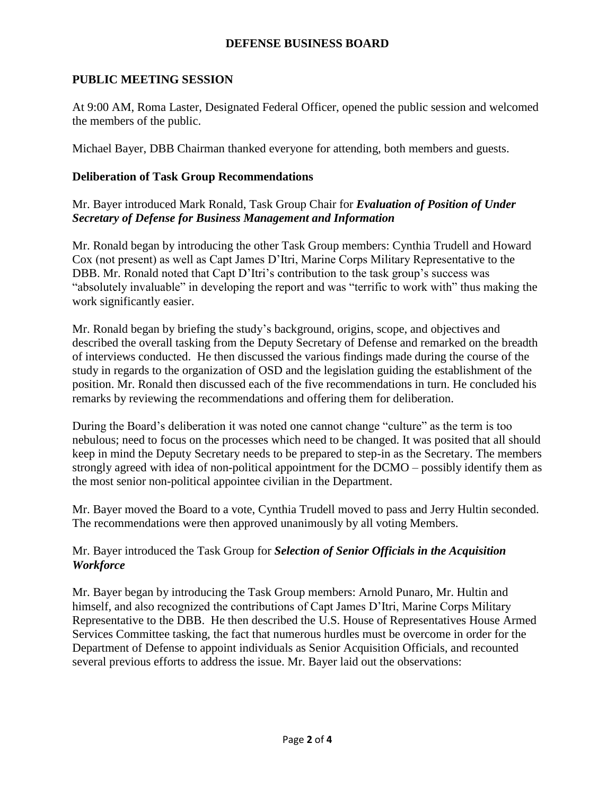# **PUBLIC MEETING SESSION**

At 9:00 AM, Roma Laster, Designated Federal Officer, opened the public session and welcomed the members of the public.

Michael Bayer, DBB Chairman thanked everyone for attending, both members and guests.

# **Deliberation of Task Group Recommendations**

Mr. Bayer introduced Mark Ronald, Task Group Chair for *Evaluation of Position of Under Secretary of Defense for Business Management and Information*

Mr. Ronald began by introducing the other Task Group members: Cynthia Trudell and Howard Cox (not present) as well as Capt James D'Itri, Marine Corps Military Representative to the DBB. Mr. Ronald noted that Capt D'Itri's contribution to the task group's success was "absolutely invaluable" in developing the report and was "terrific to work with" thus making the work significantly easier.

Mr. Ronald began by briefing the study's background, origins, scope, and objectives and described the overall tasking from the Deputy Secretary of Defense and remarked on the breadth of interviews conducted. He then discussed the various findings made during the course of the study in regards to the organization of OSD and the legislation guiding the establishment of the position. Mr. Ronald then discussed each of the five recommendations in turn. He concluded his remarks by reviewing the recommendations and offering them for deliberation.

During the Board's deliberation it was noted one cannot change "culture" as the term is too nebulous; need to focus on the processes which need to be changed. It was posited that all should keep in mind the Deputy Secretary needs to be prepared to step-in as the Secretary. The members strongly agreed with idea of non-political appointment for the DCMO – possibly identify them as the most senior non-political appointee civilian in the Department.

Mr. Bayer moved the Board to a vote, Cynthia Trudell moved to pass and Jerry Hultin seconded. The recommendations were then approved unanimously by all voting Members.

# Mr. Bayer introduced the Task Group for *Selection of Senior Officials in the Acquisition Workforce*

Mr. Bayer began by introducing the Task Group members: Arnold Punaro, Mr. Hultin and himself, and also recognized the contributions of Capt James D'Itri, Marine Corps Military Representative to the DBB. He then described the U.S. House of Representatives House Armed Services Committee tasking, the fact that numerous hurdles must be overcome in order for the Department of Defense to appoint individuals as Senior Acquisition Officials, and recounted several previous efforts to address the issue. Mr. Bayer laid out the observations: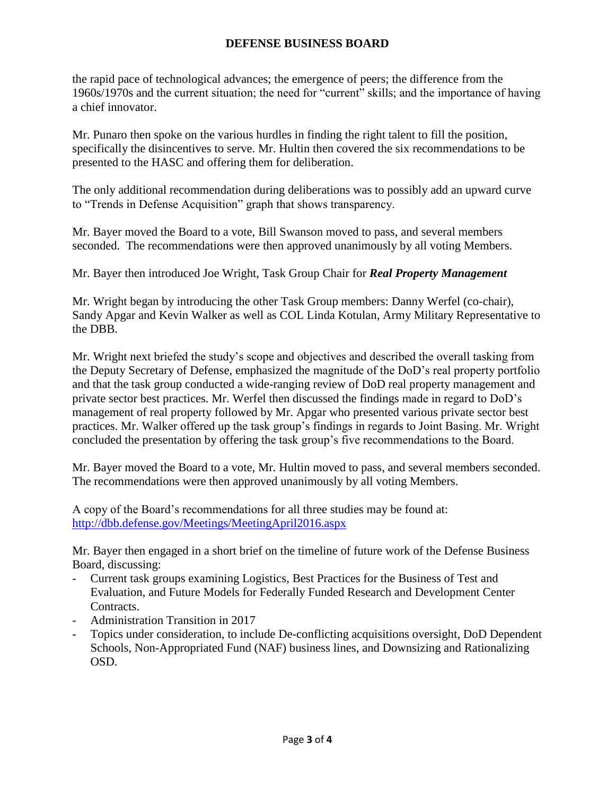the rapid pace of technological advances; the emergence of peers; the difference from the 1960s/1970s and the current situation; the need for "current" skills; and the importance of having a chief innovator.

Mr. Punaro then spoke on the various hurdles in finding the right talent to fill the position, specifically the disincentives to serve. Mr. Hultin then covered the six recommendations to be presented to the HASC and offering them for deliberation.

The only additional recommendation during deliberations was to possibly add an upward curve to "Trends in Defense Acquisition" graph that shows transparency.

Mr. Bayer moved the Board to a vote, Bill Swanson moved to pass, and several members seconded. The recommendations were then approved unanimously by all voting Members.

Mr. Bayer then introduced Joe Wright, Task Group Chair for *Real Property Management*

Mr. Wright began by introducing the other Task Group members: Danny Werfel (co-chair), Sandy Apgar and Kevin Walker as well as COL Linda Kotulan, Army Military Representative to the DBB.

Mr. Wright next briefed the study's scope and objectives and described the overall tasking from the Deputy Secretary of Defense, emphasized the magnitude of the DoD's real property portfolio and that the task group conducted a wide-ranging review of DoD real property management and private sector best practices. Mr. Werfel then discussed the findings made in regard to DoD's management of real property followed by Mr. Apgar who presented various private sector best practices. Mr. Walker offered up the task group's findings in regards to Joint Basing. Mr. Wright concluded the presentation by offering the task group's five recommendations to the Board.

Mr. Bayer moved the Board to a vote, Mr. Hultin moved to pass, and several members seconded. The recommendations were then approved unanimously by all voting Members.

A copy of the Board's recommendations for all three studies may be found at: <http://dbb.defense.gov/Meetings/MeetingApril2016.aspx>

Mr. Bayer then engaged in a short brief on the timeline of future work of the Defense Business Board, discussing:

- Current task groups examining Logistics, Best Practices for the Business of Test and Evaluation, and Future Models for Federally Funded Research and Development Center Contracts.
- Administration Transition in 2017
- Topics under consideration, to include De-conflicting acquisitions oversight, DoD Dependent Schools, Non-Appropriated Fund (NAF) business lines, and Downsizing and Rationalizing OSD.